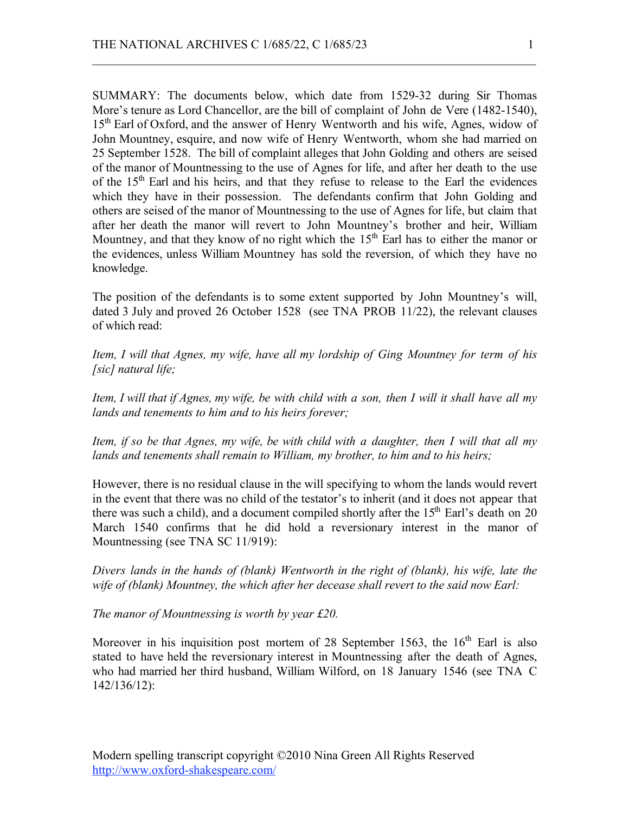SUMMARY: The documents below, which date from 1529-32 during Sir Thomas More's tenure as Lord Chancellor, are the bill of complaint of John de Vere (1482-1540), 15<sup>th</sup> Earl of Oxford, and the answer of Henry Wentworth and his wife, Agnes, widow of John Mountney, esquire, and now wife of Henry Wentworth, whom she had married on 25 September 1528. The bill of complaint alleges that John Golding and others are seised of the manor of Mountnessing to the use of Agnes for life, and after her death to the use of the  $15<sup>th</sup>$  Earl and his heirs, and that they refuse to release to the Earl the evidences which they have in their possession. The defendants confirm that John Golding and others are seised of the manor of Mountnessing to the use of Agnes for life, but claim that after her death the manor will revert to John Mountney's brother and heir, William Mountney, and that they know of no right which the  $15<sup>th</sup>$  Earl has to either the manor or the evidences, unless William Mountney has sold the reversion, of which they have no knowledge.

 $\mathcal{L}_\text{max} = \mathcal{L}_\text{max} = \mathcal{L}_\text{max} = \mathcal{L}_\text{max} = \mathcal{L}_\text{max} = \mathcal{L}_\text{max} = \mathcal{L}_\text{max} = \mathcal{L}_\text{max} = \mathcal{L}_\text{max} = \mathcal{L}_\text{max} = \mathcal{L}_\text{max} = \mathcal{L}_\text{max} = \mathcal{L}_\text{max} = \mathcal{L}_\text{max} = \mathcal{L}_\text{max} = \mathcal{L}_\text{max} = \mathcal{L}_\text{max} = \mathcal{L}_\text{max} = \mathcal{$ 

The position of the defendants is to some extent supported by John Mountney's will, dated 3 July and proved 26 October 1528 (see TNA PROB 11/22), the relevant clauses of which read:

*Item, I will that Agnes, my wife, have all my lordship of Ging Mountney for term of his [sic] natural life;*

*Item, I will that if Agnes, my wife, be with child with a son, then I will it shall have all my lands and tenements to him and to his heirs forever;*

*Item, if so be that Agnes, my wife, be with child with a daughter, then I will that all my lands and tenements shall remain to William, my brother, to him and to his heirs;*

However, there is no residual clause in the will specifying to whom the lands would revert in the event that there was no child of the testator's to inherit (and it does not appear that there was such a child), and a document compiled shortly after the  $15<sup>th</sup>$  Earl's death on 20 March 1540 confirms that he did hold a reversionary interest in the manor of Mountnessing (see TNA SC 11/919):

*Divers lands in the hands of (blank) Wentworth in the right of (blank), his wife, late the wife of (blank) Mountney, the which after her decease shall revert to the said now Earl:*

*The manor of Mountnessing is worth by year £20.*

Moreover in his inquisition post mortem of 28 September 1563, the  $16<sup>th</sup>$  Earl is also stated to have held the reversionary interest in Mountnessing after the death of Agnes, who had married her third husband, William Wilford, on 18 January 1546 (see TNA C 142/136/12):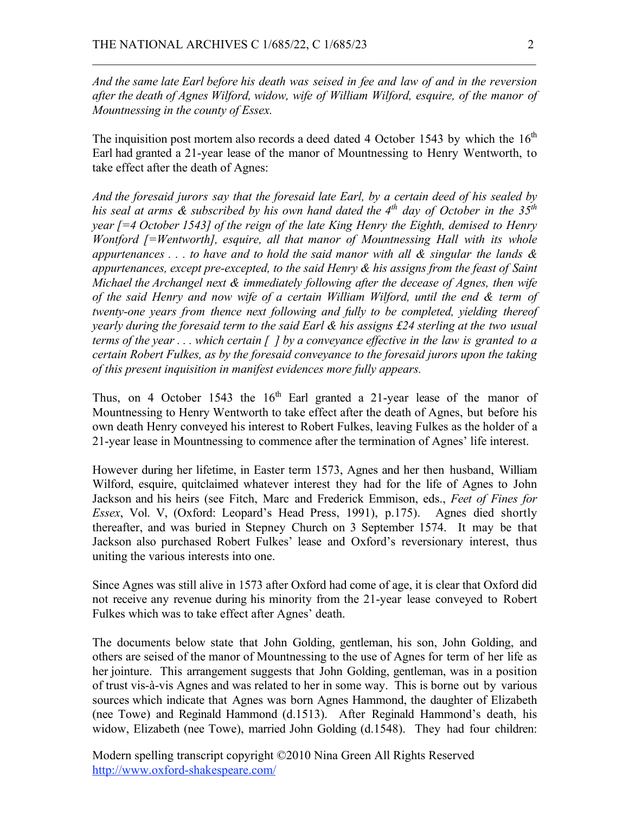*And the same late Earl before his death was seised in fee and law of and in the reversion after the death of Agnes Wilford, widow, wife of William Wilford, esquire, of the manor of Mountnessing in the county of Essex.*

 $\mathcal{L}_\text{max} = \mathcal{L}_\text{max} = \mathcal{L}_\text{max} = \mathcal{L}_\text{max} = \mathcal{L}_\text{max} = \mathcal{L}_\text{max} = \mathcal{L}_\text{max} = \mathcal{L}_\text{max} = \mathcal{L}_\text{max} = \mathcal{L}_\text{max} = \mathcal{L}_\text{max} = \mathcal{L}_\text{max} = \mathcal{L}_\text{max} = \mathcal{L}_\text{max} = \mathcal{L}_\text{max} = \mathcal{L}_\text{max} = \mathcal{L}_\text{max} = \mathcal{L}_\text{max} = \mathcal{$ 

The inquisition post mortem also records a deed dated 4 October 1543 by which the  $16<sup>th</sup>$ Earl had granted a 21-year lease of the manor of Mountnessing to Henry Wentworth, to take effect after the death of Agnes:

*And the foresaid jurors say that the foresaid late Earl, by a certain deed of his sealed by his seal at arms & subscribed by his own hand dated the 4th day of October in the 35th year [=4 October 1543] of the reign of the late King Henry the Eighth, demised to Henry Wontford [=Wentworth], esquire, all that manor of Mountnessing Hall with its whole appurtenances . . . to have and to hold the said manor with all & singular the lands & appurtenances, except pre-excepted, to the said Henry & his assigns from the feast of Saint Michael the Archangel next & immediately following after the decease of Agnes, then wife of the said Henry and now wife of a certain William Wilford, until the end & term of twenty-one years from thence next following and fully to be completed, yielding thereof yearly during the foresaid term to the said Earl & his assigns £24 sterling at the two usual terms of the year . . . which certain [ ] by a conveyance effective in the law is granted to a certain Robert Fulkes, as by the foresaid conveyance to the foresaid jurors upon the taking of this present inquisition in manifest evidences more fully appears.*

Thus, on 4 October 1543 the  $16<sup>th</sup>$  Earl granted a 21-year lease of the manor of Mountnessing to Henry Wentworth to take effect after the death of Agnes, but before his own death Henry conveyed his interest to Robert Fulkes, leaving Fulkes as the holder of a 21-year lease in Mountnessing to commence after the termination of Agnes' life interest.

However during her lifetime, in Easter term 1573, Agnes and her then husband, William Wilford, esquire, quitclaimed whatever interest they had for the life of Agnes to John Jackson and his heirs (see Fitch, Marc and Frederick Emmison, eds., *Feet of Fines for Essex*, Vol. V, (Oxford: Leopard's Head Press, 1991), p.175). Agnes died shortly thereafter, and was buried in Stepney Church on 3 September 1574. It may be that Jackson also purchased Robert Fulkes' lease and Oxford's reversionary interest, thus uniting the various interests into one.

Since Agnes was still alive in 1573 after Oxford had come of age, it is clear that Oxford did not receive any revenue during his minority from the 21-year lease conveyed to Robert Fulkes which was to take effect after Agnes' death.

The documents below state that John Golding, gentleman, his son, John Golding, and others are seised of the manor of Mountnessing to the use of Agnes for term of her life as her jointure. This arrangement suggests that John Golding, gentleman, was in a position of trust vis-à-vis Agnes and was related to her in some way. This is borne out by various sources which indicate that Agnes was born Agnes Hammond, the daughter of Elizabeth (nee Towe) and Reginald Hammond (d.1513). After Reginald Hammond's death, his widow, Elizabeth (nee Towe), married John Golding (d.1548). They had four children:

Modern spelling transcript copyright ©2010 Nina Green All Rights Reserved http://www.oxford-shakespeare.com/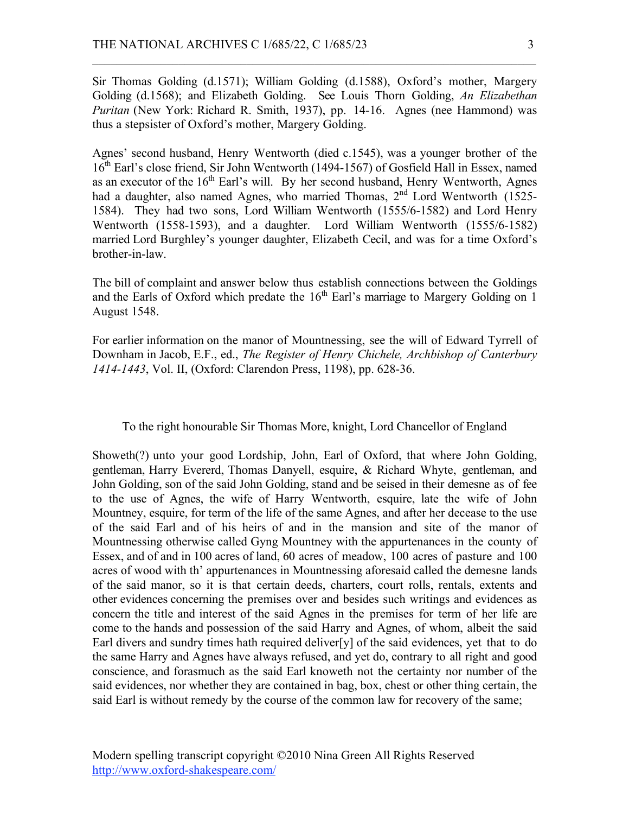Sir Thomas Golding (d.1571); William Golding (d.1588), Oxford's mother, Margery Golding (d.1568); and Elizabeth Golding. See Louis Thorn Golding, *An Elizabethan Puritan* (New York: Richard R. Smith, 1937), pp. 14-16. Agnes (nee Hammond) was thus a stepsister of Oxford's mother, Margery Golding.

 $\mathcal{L}_\text{max} = \mathcal{L}_\text{max} = \mathcal{L}_\text{max} = \mathcal{L}_\text{max} = \mathcal{L}_\text{max} = \mathcal{L}_\text{max} = \mathcal{L}_\text{max} = \mathcal{L}_\text{max} = \mathcal{L}_\text{max} = \mathcal{L}_\text{max} = \mathcal{L}_\text{max} = \mathcal{L}_\text{max} = \mathcal{L}_\text{max} = \mathcal{L}_\text{max} = \mathcal{L}_\text{max} = \mathcal{L}_\text{max} = \mathcal{L}_\text{max} = \mathcal{L}_\text{max} = \mathcal{$ 

Agnes' second husband, Henry Wentworth (died c.1545), was a younger brother of the 16<sup>th</sup> Earl's close friend, Sir John Wentworth (1494-1567) of Gosfield Hall in Essex, named as an executor of the  $16<sup>th</sup>$  Earl's will. By her second husband, Henry Wentworth, Agnes had a daughter, also named Agnes, who married Thomas, 2<sup>nd</sup> Lord Wentworth (1525-1584). They had two sons, Lord William Wentworth (1555/6-1582) and Lord Henry Wentworth (1558-1593), and a daughter. Lord William Wentworth (1555/6-1582) married Lord Burghley's younger daughter, Elizabeth Cecil, and was for a time Oxford's brother-in-law.

The bill of complaint and answer below thus establish connections between the Goldings and the Earls of Oxford which predate the  $16<sup>th</sup>$  Earl's marriage to Margery Golding on 1 August 1548.

For earlier information on the manor of Mountnessing, see the will of Edward Tyrrell of Downham in Jacob, E.F., ed., *The Register of Henry Chichele, Archbishop of Canterbury 1414-1443*, Vol. II, (Oxford: Clarendon Press, 1198), pp. 628-36.

To the right honourable Sir Thomas More, knight, Lord Chancellor of England

Showeth(?) unto your good Lordship, John, Earl of Oxford, that where John Golding, gentleman, Harry Evererd, Thomas Danyell, esquire, & Richard Whyte, gentleman, and John Golding, son of the said John Golding, stand and be seised in their demesne as of fee to the use of Agnes, the wife of Harry Wentworth, esquire, late the wife of John Mountney, esquire, for term of the life of the same Agnes, and after her decease to the use of the said Earl and of his heirs of and in the mansion and site of the manor of Mountnessing otherwise called Gyng Mountney with the appurtenances in the county of Essex, and of and in 100 acres of land, 60 acres of meadow, 100 acres of pasture and 100 acres of wood with th' appurtenances in Mountnessing aforesaid called the demesne lands of the said manor, so it is that certain deeds, charters, court rolls, rentals, extents and other evidences concerning the premises over and besides such writings and evidences as concern the title and interest of the said Agnes in the premises for term of her life are come to the hands and possession of the said Harry and Agnes, of whom, albeit the said Earl divers and sundry times hath required deliver[y] of the said evidences, yet that to do the same Harry and Agnes have always refused, and yet do, contrary to all right and good conscience, and forasmuch as the said Earl knoweth not the certainty nor number of the said evidences, nor whether they are contained in bag, box, chest or other thing certain, the said Earl is without remedy by the course of the common law for recovery of the same;